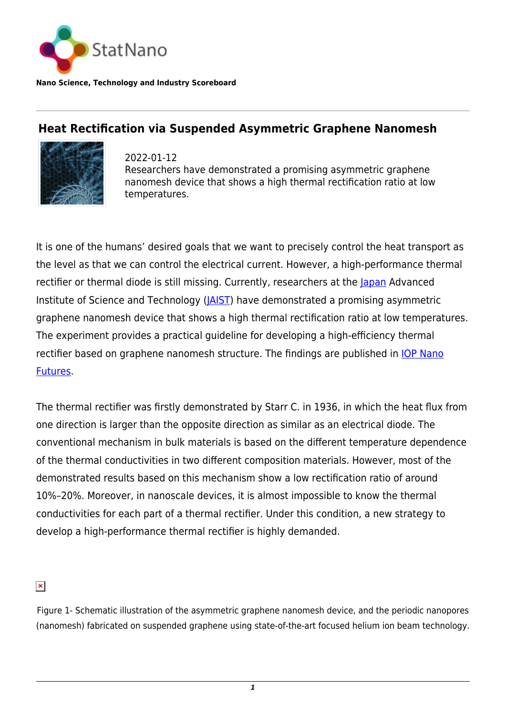

**Nano Science, Technology and Industry Scoreboard**

## **Heat Rectification via Suspended Asymmetric Graphene Nanomesh**



2022-01-12 Researchers have demonstrated a promising asymmetric graphene nanomesh device that shows a high thermal rectification ratio at low temperatures.

It is one of the humans' desired goals that we want to precisely control the heat transport as the level as that we can control the electrical current. However, a high-performance thermal rectifier or thermal diode is still missing. Currently, researchers at the [Japan](http://statnano.com/country/Japan) Advanced Institute of Science and Technology (*JAIST*) have demonstrated a promising asymmetric graphene nanomesh device that shows a high thermal rectification ratio at low temperatures. The experiment provides a practical guideline for developing a high-efficiency thermal rectifier based on graphene nanomesh structure. The findings are published in **IOP Nano** [Futures](https://iopscience.iop.org/article/10.1088/2399-1984/ac36b5).

The thermal rectifier was firstly demonstrated by Starr C. in 1936, in which the heat flux from one direction is larger than the opposite direction as similar as an electrical diode. The conventional mechanism in bulk materials is based on the different temperature dependence of the thermal conductivities in two different composition materials. However, most of the demonstrated results based on this mechanism show a low rectification ratio of around 10%–20%. Moreover, in nanoscale devices, it is almost impossible to know the thermal conductivities for each part of a thermal rectifier. Under this condition, a new strategy to develop a high-performance thermal rectifier is highly demanded.

 $\pmb{\times}$ 

Figure 1- Schematic illustration of the asymmetric graphene nanomesh device, and the periodic nanopores (nanomesh) fabricated on suspended graphene using state-of-the-art focused helium ion beam technology.